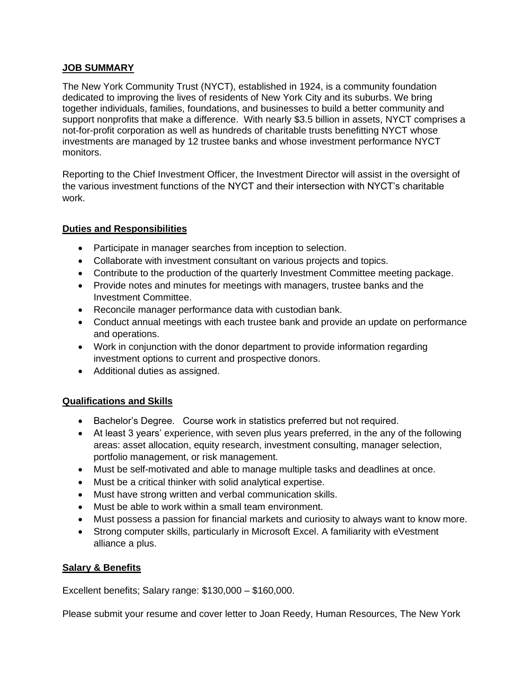## **JOB SUMMARY**

The New York Community Trust (NYCT), established in 1924, is a community foundation dedicated to improving the lives of residents of New York City and its suburbs. We bring together individuals, families, foundations, and businesses to build a better community and support nonprofits that make a difference. With nearly \$3.5 billion in assets, NYCT comprises a not-for-profit corporation as well as hundreds of charitable trusts benefitting NYCT whose investments are managed by 12 trustee banks and whose investment performance NYCT monitors.

Reporting to the Chief Investment Officer, the Investment Director will assist in the oversight of the various investment functions of the NYCT and their intersection with NYCT's charitable work.

## **Duties and Responsibilities**

- Participate in manager searches from inception to selection.
- Collaborate with investment consultant on various projects and topics.
- Contribute to the production of the quarterly Investment Committee meeting package.
- Provide notes and minutes for meetings with managers, trustee banks and the Investment Committee.
- Reconcile manager performance data with custodian bank.
- Conduct annual meetings with each trustee bank and provide an update on performance and operations.
- Work in conjunction with the donor department to provide information regarding investment options to current and prospective donors.
- Additional duties as assigned.

## **Qualifications and Skills**

- Bachelor's Degree. Course work in statistics preferred but not required.
- At least 3 years' experience, with seven plus years preferred, in the any of the following areas: asset allocation, equity research, investment consulting, manager selection, portfolio management, or risk management.
- Must be self-motivated and able to manage multiple tasks and deadlines at once.
- Must be a critical thinker with solid analytical expertise.
- Must have strong written and verbal communication skills.
- Must be able to work within a small team environment.
- Must possess a passion for financial markets and curiosity to always want to know more.
- Strong computer skills, particularly in Microsoft Excel. A familiarity with eVestment alliance a plus.

## **Salary & Benefits**

Excellent benefits; Salary range: \$130,000 – \$160,000.

Please submit your resume and cover letter to Joan Reedy, Human Resources, The New York